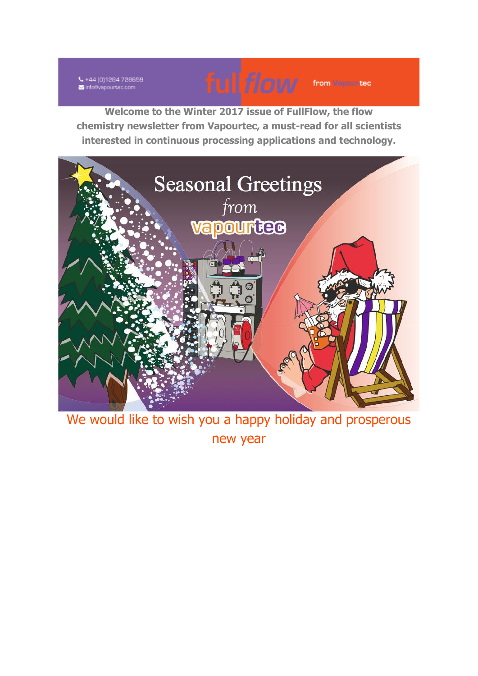↓ +44 (0)1284 728659 info@vapourtec.com



**Welcome to the Winter 2017 issue of FullFlow, the flow chemistry newsletter from Vapourtec, a must-read for all scientists interested in continuous processing applications and technology.**



We would like to wish you a happy holiday and prosperous new year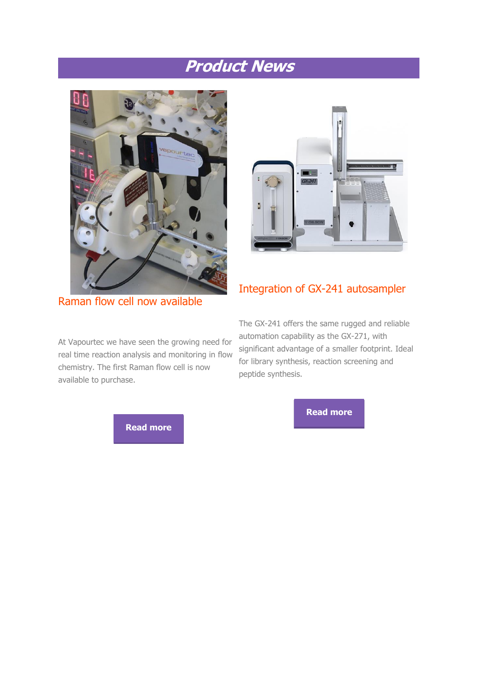## **Product News**





Raman flow cell now available

At Vapourtec we have seen the growing need for real time reaction analysis and monitoring in flow chemistry. The first Raman flow cell is now available to purchase.



### Integration of GX-241 autosampler

The GX-241 offers the same rugged and reliable automation capability as the GX-271, with significant advantage of a smaller footprint. Ideal for library synthesis, reaction screening and peptide synthesis.

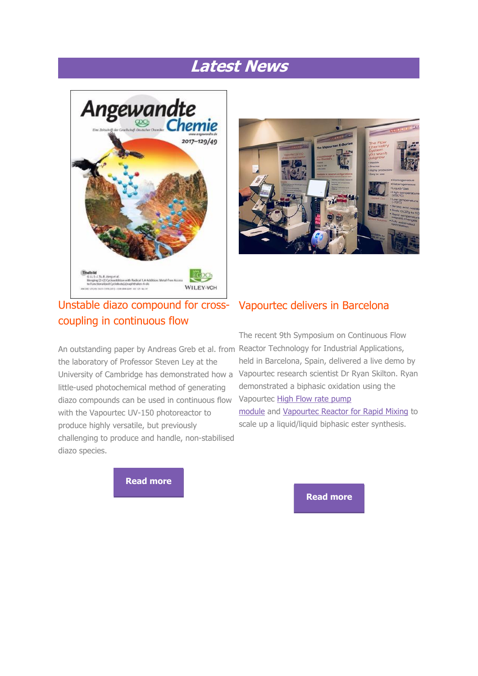## **Latest News**



### Unstable diazo compound for crosscoupling in continuous flow

the laboratory of Professor Steven Ley at the little-used photochemical method of generating diazo compounds can be used in continuous flow with the Vapourtec UV-150 photoreactor to produce highly versatile, but previously challenging to produce and handle, non-stabilised diazo species.



### Vapourtec delivers in Barcelona

An outstanding paper by Andreas Greb et al. from Reactor Technology for Industrial Applications, University of Cambridge has demonstrated how a Vapourtec research scientist Dr Ryan Skilton. Ryan The recent 9th Symposium on Continuous Flow held in Barcelona, Spain, delivered a live demo by demonstrated a biphasic oxidation using the Vapourtec [High Flow rate pump](http://vapourtec.cmail19.com/t/r-l-jrtdtudk-kiqdijjut-u/)  [module](http://vapourtec.cmail19.com/t/r-l-jrtdtudk-kiqdijjut-u/) and [Vapourtec Reactor for Rapid Mixing](http://vapourtec.cmail19.com/t/r-l-jrtdtudk-kiqdijjut-o/) to scale up a liquid/liquid biphasic ester synthesis.

**[Read more](http://vapourtec.cmail19.com/t/r-l-jrtdtudk-kiqdijjut-h/)**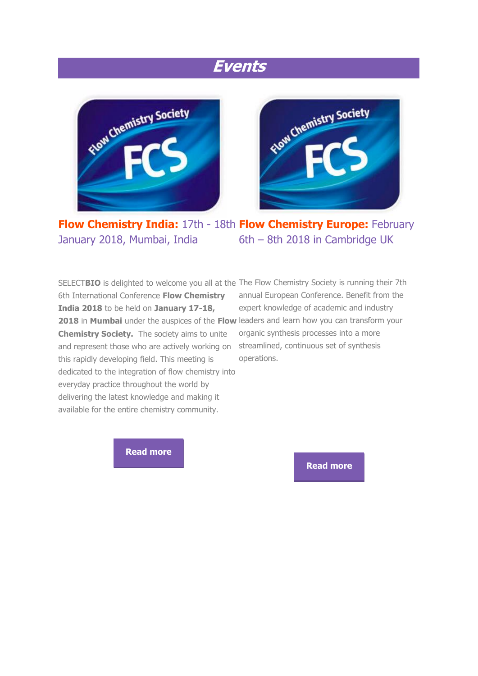## **Events**





**Flow Chemistry India:** 17th - 18th **Flow Chemistry Europe:** February January 2018, Mumbai, India 6th – 8th 2018 in Cambridge UK

SELECTBIO is delighted to welcome you all at the The Flow Chemistry Society is running their 7th 6th International Conference **Flow Chemistry India 2018** to be held on **January 17-18,**  2018 in Mumbai under the auspices of the Flow leaders and learn how you can transform your **Chemistry Society.** The society aims to unite and represent those who are actively working on streamlined, continuous set of synthesis this rapidly developing field. This meeting is dedicated to the integration of flow chemistry into everyday practice throughout the world by delivering the latest knowledge and making it available for the entire chemistry community.

annual European Conference. Benefit from the expert knowledge of academic and industry organic synthesis processes into a more operations.

**[Read more](http://vapourtec.cmail19.com/t/r-l-jrtdtudk-kiqdijjut-p/)**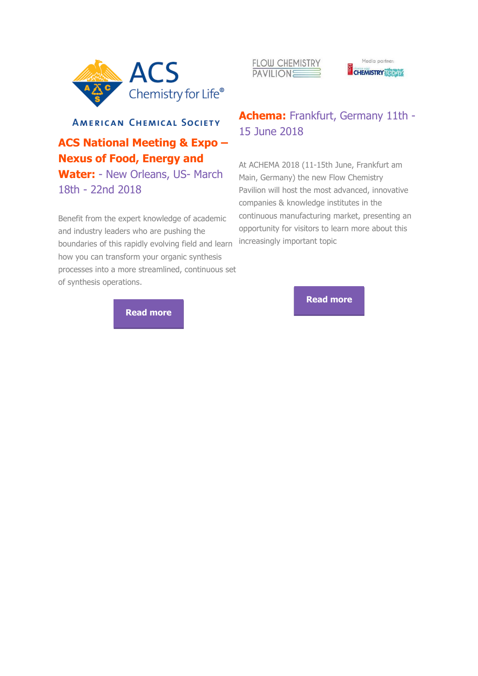





# **AMERICAN CHEMICAL SOCIETY**

## **ACS National Meeting & Expo – Nexus of Food, Energy and**

**Water:** - New Orleans, US- March 18th - 22nd 2018

Benefit from the expert knowledge of academic and industry leaders who are pushing the boundaries of this rapidly evolving field and learn how you can transform your organic synthesis processes into a more streamlined, continuous set of synthesis operations.

### **Achema:** Frankfurt, Germany 11th - 15 June 2018

At ACHEMA 2018 (11-15th June, Frankfurt am Main, Germany) the new Flow Chemistry Pavilion will host the most advanced, innovative companies & knowledge institutes in the continuous manufacturing market, presenting an opportunity for visitors to learn more about this increasingly important topic

**[Read more](http://vapourtec.cmail19.com/t/r-l-jrtdtudk-kiqdijjut-q/)**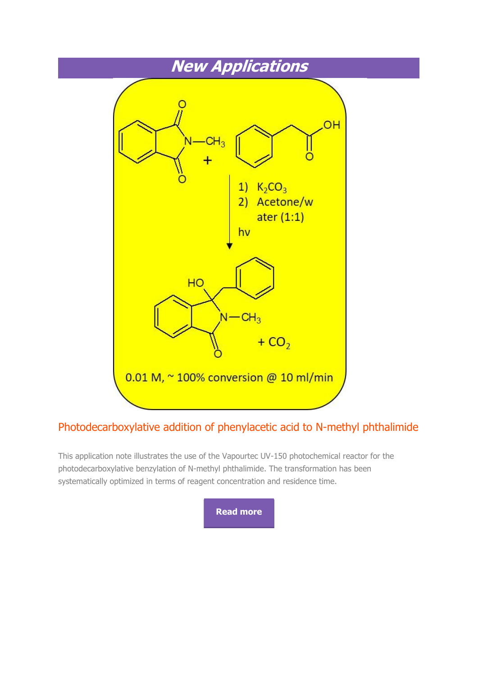

### Photodecarboxylative addition of phenylacetic acid to N-methyl phthalimide

This application note illustrates the use of the Vapourtec UV-150 photochemical reactor for the photodecarboxylative benzylation of N-methyl phthalimide. The transformation has been systematically optimized in terms of reagent concentration and residence time.

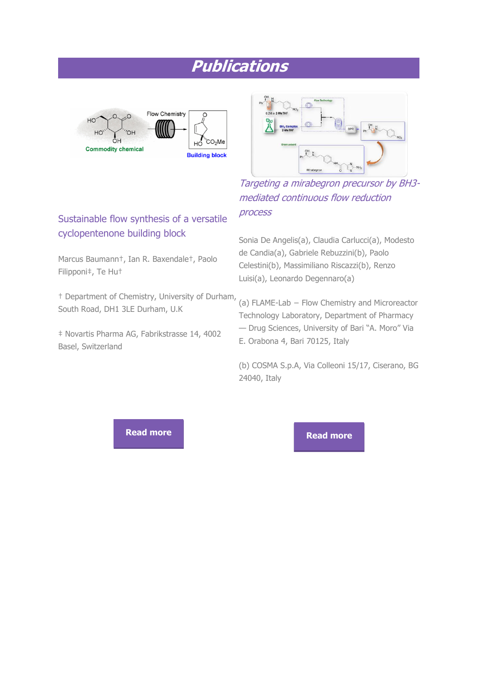# **Publications**



Sustainable flow synthesis of a versatile

Marcus Baumann†, Ian R. Baxendale†, Paolo

† Department of Chemistry, University of Durham,

‡ Novartis Pharma AG, Fabrikstrasse 14, 4002

cyclopentenone building block

South Road, DH1 3LE Durham, U.K

Filipponi‡, Te Hu†

Basel, Switzerland



Targeting a mirabegron precursor by BH3 mediated continuous flow reduction process

Sonia De Angelis(a), Claudia Carlucci(a), Modesto de Candia(a), Gabriele Rebuzzini(b), Paolo Celestini(b), Massimiliano Riscazzi(b), Renzo Luisi(a), Leonardo Degennaro(a)

(a) FLAME-Lab − Flow Chemistry and Microreactor Technology Laboratory, Department of Pharmacy — Drug Sciences, University of Bari "A. Moro" Via E. Orabona 4, Bari 70125, Italy

(b) COSMA S.p.A, Via Colleoni 15/17, Ciserano, BG 24040, Italy

**[Read more](http://vapourtec.cmail19.com/t/r-l-jrtdtudk-kiqdijjut-w/) Read more**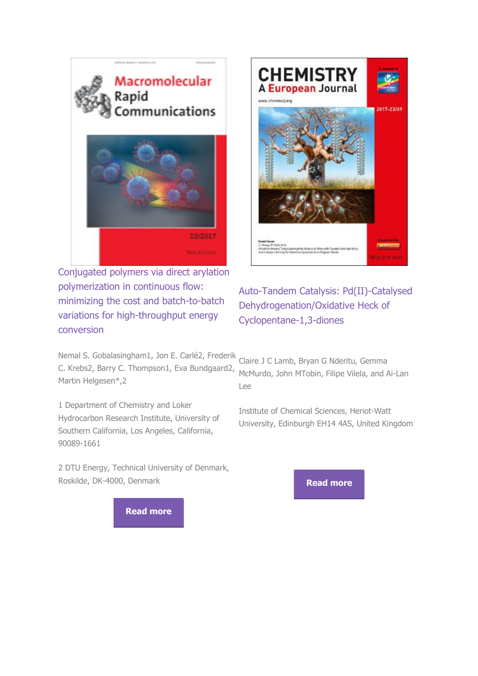

Conjugated polymers via direct arylation polymerization in continuous flow: minimizing the cost and batch-to-batch variations for high-throughput energy conversion

**CHEMISTRY** A European Journal www.chemeuri.on **MALE WAY** 

### Auto-Tandem Catalysis: Pd(II)-Catalysed Dehydrogenation/Oxidative Heck of Cyclopentane-1,3-diones

Nemal S. Gobalasingham1, Jon E. Carlé2, Frederik C. Krebs2, Barry C. Thompson1, Eva Bundgaard2, Martin Helgesen\*,2

1 Department of Chemistry and Loker Hydrocarbon Research Institute, University of Southern California, Los Angeles, California, 90089-1661

2 DTU Energy, Technical University of Denmark, Roskilde, DK-4000, Denmark

Claire J C Lamb, Bryan G Nderitu, Gemma McMurdo, John MTobin, Filipe Vilela, and Ai-Lan Lee

Institute of Chemical Sciences, Heriot-Watt University, Edinburgh EH14 4AS, United Kingdom

**[Read more](http://vapourtec.cmail19.com/t/r-l-jrtdtudk-kiqdijjut-yu/)**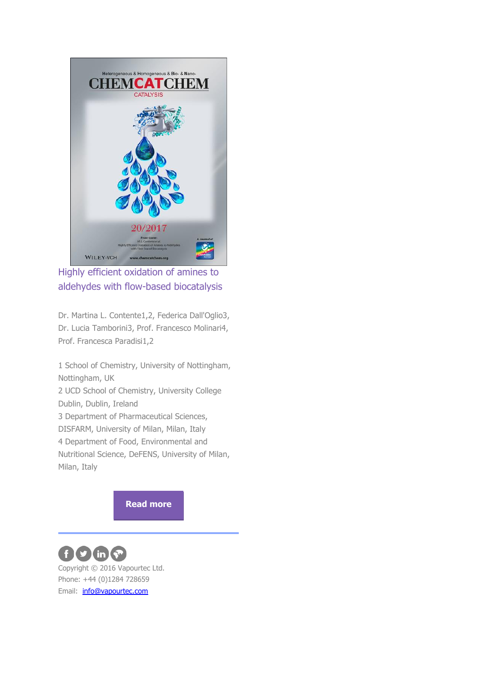

Highly efficient oxidation of amines to aldehydes with flow-based biocatalysis

Dr. Martina L. Contente1,2, Federica Dall'Oglio3, Dr. Lucia Tamborini3, Prof. Francesco Molinari4, Prof. Francesca Paradisi1,2

1 School of Chemistry, University of Nottingham, Nottingham, UK 2 UCD School of Chemistry, University College Dublin, Dublin, Ireland 3 Department of Pharmaceutical Sciences, DISFARM, University of Milan, Milan, Italy 4 Department of Food, Environmental and Nutritional Science, DeFENS, University of Milan, Milan, Italy